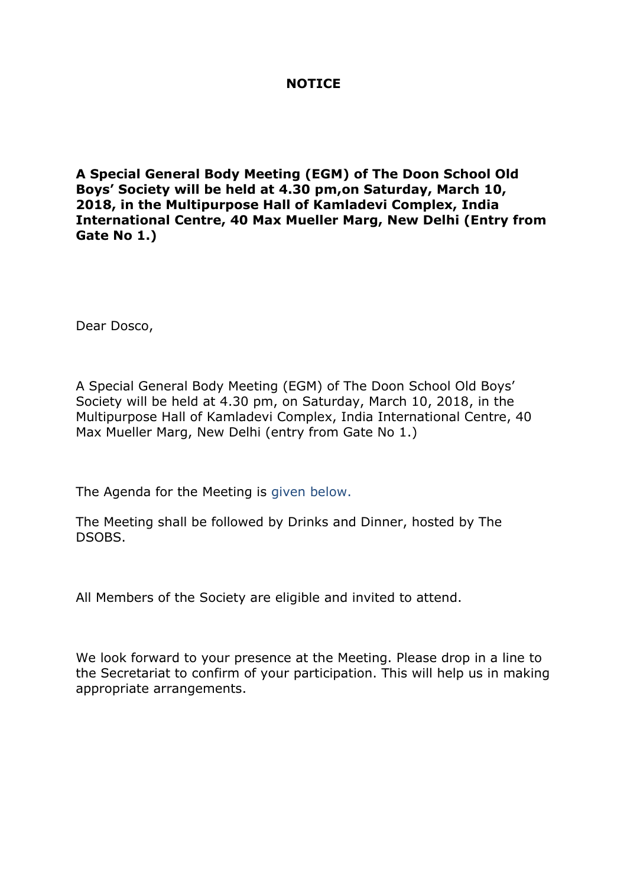## **NOTICE**

**A Special General Body Meeting (EGM) of The Doon School Old Boys' Society will be held at 4.30 pm,on Saturday, March 10, 2018, in the Multipurpose Hall of Kamladevi Complex, India International Centre, 40 Max Mueller Marg, New Delhi (Entry from Gate No 1.)**

Dear Dosco,

A Special General Body Meeting (EGM) of The Doon School Old Boys' Society will be held at 4.30 pm, on Saturday, March 10, 2018, in the Multipurpose Hall of Kamladevi Complex, India International Centre, 40 Max Mueller Marg, New Delhi (entry from Gate No 1.)

The Agenda for the Meeting is given below.

The Meeting shall be followed by Drinks and Dinner, hosted by The DSOBS.

All Members of the Society are eligible and invited to attend.

We look forward to your presence at the Meeting. Please drop in a line to the Secretariat to confirm of your participation. This will help us in making appropriate arrangements.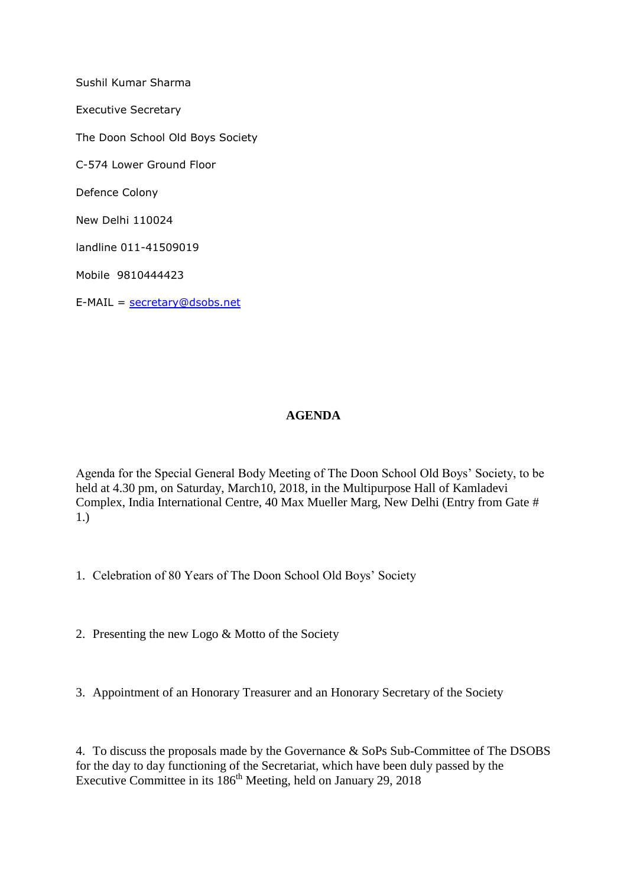Sushil Kumar Sharma Executive Secretary The Doon School Old Boys Society C-574 Lower Ground Floor Defence Colony New Delhi 110024 landline 011-41509019 Mobile 9810444423 E-MAIL = [secretary@dsobs.net](mailto:secretary@dsobs.net)

## **AGENDA**

Agenda for the Special General Body Meeting of The Doon School Old Boys' Society, to be held at 4.30 pm, on Saturday, March10, 2018, in the Multipurpose Hall of Kamladevi Complex, India International Centre, 40 Max Mueller Marg, New Delhi (Entry from Gate # 1.)

- 1. Celebration of 80 Years of The Doon School Old Boys' Society
- 2. Presenting the new Logo & Motto of the Society
- 3. Appointment of an Honorary Treasurer and an Honorary Secretary of the Society

4. To discuss the proposals made by the Governance & SoPs Sub-Committee of The DSOBS for the day to day functioning of the Secretariat, which have been duly passed by the Executive Committee in its 186<sup>th</sup> Meeting, held on January 29, 2018